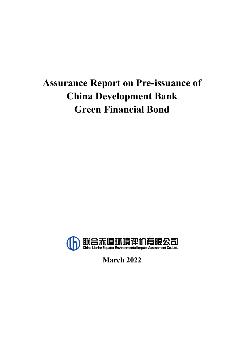# **Assurance Report on Pre-issuance of China Development Bank Green Financial Bond**



**March 2022**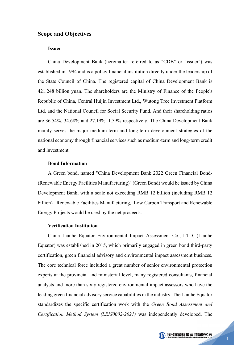### **Scope and Objectives**

#### **Issuer**

China Development Bank (hereinafter referred to as "CDB" or "issuer") was established in 1994 and is a policy financial institution directly under the leadership of the State Council of China. The registered capital of China Development Bank is 421.248 billion yuan. The shareholders are the Ministry of Finance of the People's Republic of China, Central Huijin Investment Ltd., Wutong Tree Investment Platform Ltd. and the National Council for Social Security Fund. And their shareholding ratios are 36.54%, 34.68% and 27.19%, 1.59% respectively. The China Development Bank mainly serves the major medium-term and long-term development strategies of the national economy through financial services such as medium-term and long-term credit and investment.

### **Bond Information**

A Green bond, named "China Development Bank 2022 Green Financial Bond- (Renewable Energy Facilities Manufacturing)" (Green Bond) would be issued by China Development Bank, with a scale not exceeding RMB 12 billion (including RMB 12 billion). Renewable Facilities Manufacturing, Low Carbon Transport and Renewable Energy Projects would be used by the net proceeds.

#### **Verification Institution**

China Lianhe Equator Environmental Impact Assessment Co., LTD. (Lianhe Equator) was established in 2015, which primarily engaged in green bond third-party certification, green financial advisory and environmental impact assessment business. The core technical force included a great number of senior environmental protection experts at the provincial and ministerial level, many registered consultants, financial analysts and more than sixty registered environmental impact assessors who have the leading green financial advisory service capabilities in the industry. The Lianhe Equator standardizes the specific certification work with the *Green Bond Assessment and Certification Method System (LEIS0002-2021)* was independently developed. The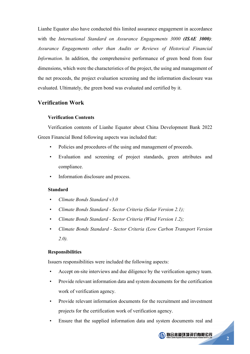Lianhe Equator also have conducted this limited assurance engagement in accordance with the *International Standard on Assurance Engagements 3000 (ISAE 3000)*: *Assurance Engagements other than Audits or Reviews of Historical Financial Information*. In addition, the comprehensive performance of green bond from four dimensions, which were the characteristics of the project, the using and management of the net proceeds, the project evaluation screening and the information disclosure was evaluated. Ultimately, the green bond was evaluated and certified by it.

### **Verification Work**

### **Verification Contents**

Verification contents of Lianhe Equator about China Development Bank 2022 Green Financial Bond following aspects was included that:

- Policies and procedures of the using and management of proceeds.
- Evaluation and screening of project standards, green attributes and compliance.
- Information disclosure and process.

### **Standard**

- *Climate Bonds Standard v3.0*
- *Climate Bonds Standard - Sector Criteria (Solar Version 2.1);*
- *Climate Bonds Standard - Sector Criteria (Wind Version 1.2);*
- *Climate Bonds Standard - Sector Criteria (Low Carbon Transport Version 2.0).*

### **Responsibilities**

Issuers responsibilities were included the following aspects:

- Accept on-site interviews and due diligence by the verification agency team.
- Provide relevant information data and system documents for the certification work of verification agency.
- Provide relevant information documents for the recruitment and investment projects for the certification work of verification agency.
- Ensure that the supplied information data and system documents real and

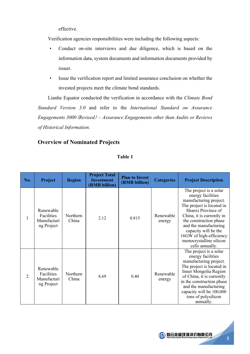effective.

Verification agencies responsibilities were including the following aspects:

- Conduct on-site interviews and due diligence, which is based on the information data, system documents and information documents provided by issuer.
- Issue the verification report and limited assurance conclusion on whether the invested projects meet the climate bond standards.

Lianhe Equator conducted the verification in accordance with the *Climate Bond Standard Version 3.0* and refer to the *International Standard on Assurance Engagements 3000*(*Revised*) – *Assurance Engagements other than Audits or Reviews of Historical Information.*

### **Overview of Nominated Projects**

| No.            | Project                                              | <b>Region</b>     | <b>Project Total</b><br><b>Investment</b><br>(RMB billion) | <b>Plan to Invest</b><br>(RMB billion) | <b>Categories</b>   | <b>Project Description</b>                                                                                                                                                                                                                                                                                |
|----------------|------------------------------------------------------|-------------------|------------------------------------------------------------|----------------------------------------|---------------------|-----------------------------------------------------------------------------------------------------------------------------------------------------------------------------------------------------------------------------------------------------------------------------------------------------------|
| 1              | Renewable<br>Facilities<br>Manufacturi<br>ng Project | Northern<br>China | 2.12                                                       | 0.815                                  | Renewable<br>energy | The project is a solar<br>energy facilities<br>manufacturing project.<br>The project is located in<br>Shanxi Province of<br>China, it is currently in<br>the construction phase<br>and the manufacturing<br>capacity will be the<br>16GW of high-efficiency<br>monocrystalline silicon<br>cells annually. |
| $\overline{2}$ | Renewable<br>Facilities<br>Manufacturi<br>ng Project | Northern<br>China | 8.69                                                       | 0.40                                   | Renewable<br>energy | The project is a solar<br>energy facilities<br>manufacturing project.<br>The project is located in<br>Inner Mongolia Region<br>of China, it is currently<br>in the construction phase<br>and the manufacturing<br>capacity will be 100,000<br>tons of polysilicon<br>annually.                            |

**Table 1**

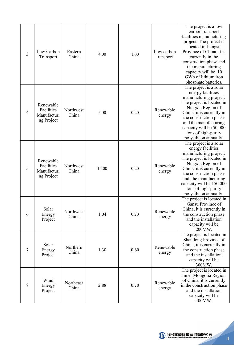| 3              | Low Carbon<br>Transport                              | Eastern<br>China   | 4.00  | 1.00 | Low carbon<br>transport | The project is a low<br>carbon transport<br>facilities manufacturing<br>project. The project is<br>located in Jiangsu<br>Province of China, it is<br>currently in the<br>construction phase and<br>the manufacturing<br>capacity will be 10<br>GWh of lithium iron<br>phosphate batteries. |
|----------------|------------------------------------------------------|--------------------|-------|------|-------------------------|--------------------------------------------------------------------------------------------------------------------------------------------------------------------------------------------------------------------------------------------------------------------------------------------|
| $\overline{4}$ | Renewable<br>Facilities<br>Manufacturi<br>ng Project | Northwest<br>China | 5.00  | 0.20 | Renewable<br>energy     | The project is a solar<br>energy facilities<br>manufacturing project.<br>The project is located in<br>Ningxia Region of<br>China, it is currently in<br>the construction phase<br>and the manufacturing<br>capacity will be 50,000<br>tons of high-purity<br>polysilicon annually.         |
| 5              | Renewable<br>Facilities<br>Manufacturi<br>ng Project | Northwest<br>China | 15.00 | 0.20 | Renewable<br>energy     | The project is a solar<br>energy facilities<br>manufacturing project.<br>The project is located in<br>Ningxia Region of<br>China, it is currently in<br>the construction phase<br>and the manufacturing<br>capacity will be 150,000<br>tons of high-purity<br>polysilicon annually.        |
| 6              | Solar<br>Energy<br>Project                           | Northwest<br>China | 1.04  | 0.20 | Renewable<br>energy     | The project is located in<br>Gansu Province of<br>China, it is currently in<br>the construction phase<br>and the installation<br>capacity will be<br>200MW.                                                                                                                                |
| $\tau$         | Solar<br>Energy<br>Project                           | Northern<br>China  | 1.30  | 0.60 | Renewable<br>energy     | The project is located in<br>Shandong Province of<br>China, it is currently in<br>the construction phase<br>and the installation<br>capacity will be<br>300MW.                                                                                                                             |
| 8              | Wind<br>Energy<br>Project                            | Northeast<br>China | 2.88  | 0.70 | Renewable<br>energy     | The project is located in<br>Inner Mongolia Region<br>of China, it is currently<br>in the construction phase<br>and the installation<br>capacity will be<br>400MW.                                                                                                                         |

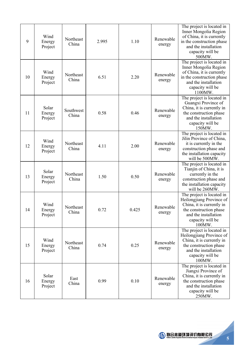| 9  | Wind<br>Energy<br>Project  | Northeast<br>China | 2.995 | 1.10  | Renewable<br>energy | The project is located in<br>Inner Mongolia Region<br>of China, it is currently<br>in the construction phase<br>and the installation<br>capacity will be<br>500MW.  |
|----|----------------------------|--------------------|-------|-------|---------------------|---------------------------------------------------------------------------------------------------------------------------------------------------------------------|
| 10 | Wind<br>Energy<br>Project  | Northeast<br>China | 6.51  | 2.20  | Renewable<br>energy | The project is located in<br>Inner Mongolia Region<br>of China, it is currently<br>in the construction phase<br>and the installation<br>capacity will be<br>1100MW. |
| 11 | Solar<br>Energy<br>Project | Southwest<br>China | 0.58  | 0.46  | Renewable<br>energy | The project is located in<br>Guangxi Province of<br>China, it is currently in<br>the construction phase<br>and the installation<br>capacity will be<br>150MW.       |
| 12 | Wind<br>Energy<br>Project  | Northeast<br>China | 4.11  | 2.00  | Renewable<br>energy | The project is located in<br>Jilin Province of China,<br>it is currently in the<br>construction phase and<br>the installation capacity<br>will be 500MW.            |
| 13 | Solar<br>Energy<br>Project | Northeast<br>China | 1.50  | 0.50  | Renewable<br>energy | The project is located in<br>Tianjin of China, it is<br>currently in the<br>construction phase and<br>the installation capacity<br>will be 260MW.                   |
| 14 | Wind<br>Energy<br>Project  | Northeast<br>China | 0.72  | 0.425 | Renewable<br>energy | The project is located in<br>Heilongjiang Province of<br>China, it is currently in<br>the construction phase<br>and the installation<br>capacity will be<br>100MW.  |
| 15 | Wind<br>Energy<br>Project  | Northeast<br>China | 0.74  | 0.25  | Renewable<br>energy | The project is located in<br>Heilongjiang Province of<br>China, it is currently in<br>the construction phase<br>and the installation<br>capacity will be<br>100MW.  |
| 16 | Solar<br>Energy<br>Project | East<br>China      | 0.99  | 0.10  | Renewable<br>energy | The project is located in<br>Jiangxi Province of<br>China, it is currently in<br>the construction phase<br>and the installation<br>capacity will be<br>250MW.       |

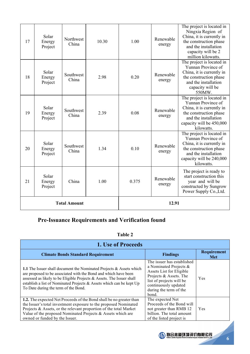| 21 | Energy<br>Project          | China<br><b>Total Amount</b> | 1.00  | 0.375 | Renewable<br>energy<br>12.91 | year and will be<br>constructed by Sungrow<br>Power Supply Co., Ltd.                                                                                                      |
|----|----------------------------|------------------------------|-------|-------|------------------------------|---------------------------------------------------------------------------------------------------------------------------------------------------------------------------|
|    | Solar                      |                              |       |       |                              | The project is ready to<br>start construction this                                                                                                                        |
| 20 | Solar<br>Energy<br>Project | Southwest<br>China           | 1.34  | 0.10  | Renewable<br>energy          | The project is located in<br>Yunnan Province of<br>China, it is currently in<br>the construction phase<br>and the installation<br>capacity will be 240,000<br>kilowatts.  |
| 19 | Solar<br>Energy<br>Project | Southwest<br>China           | 2.39  | 0.08  | Renewable<br>energy          | The project is located in<br>Yunnan Province of<br>China, it is currently in<br>the construction phase<br>and the installation<br>capacity will be 450,000<br>kilowatts.  |
| 18 | Solar<br>Energy<br>Project | Southwest<br>China           | 2.98  | 0.20  | Renewable<br>energy          | The project is located in<br>Yunnan Province of<br>China, it is currently in<br>the construction phase<br>and the installation<br>capacity will be<br>550MW.              |
| 17 | Solar<br>Energy<br>Project | Northwest<br>China           | 10.30 | 1.00  | Renewable<br>energy          | The project is located in<br>Ningxia Region of<br>China, it is currently in<br>the construction phase<br>and the installation<br>capacity will be 2<br>million kilowatts. |

# **Pre-Issuance Requirements and Verification found**

### **Table 2**

| 1. Use of Proceeds                                                                                                                                                                                                                                                                                                              |                                                                                                                                                                                                   |                                  |  |  |  |
|---------------------------------------------------------------------------------------------------------------------------------------------------------------------------------------------------------------------------------------------------------------------------------------------------------------------------------|---------------------------------------------------------------------------------------------------------------------------------------------------------------------------------------------------|----------------------------------|--|--|--|
| <b>Climate Bonds Standard Requirement</b>                                                                                                                                                                                                                                                                                       | <b>Findings</b>                                                                                                                                                                                   | <b>Requirement</b><br><b>Met</b> |  |  |  |
| 1.1 The Issuer shall document the Nominated Projects & Assets which<br>are proposed to be associated with the Bond and which have been<br>assessed as likely to be Eligible Projects & Assets. The Issuer shall<br>establish a list of Nominated Projects & Assets which can be kept Up<br>To Date during the term of the Bond. | The issuer has established<br>a Nominated Projects &<br>Assets List for Eligible<br>Projects & Assets. The<br>list of projects will be<br>continuously updated<br>during the term of the<br>bond. | Yes                              |  |  |  |
| 1.2. The expected Net Proceeds of the Bond shall be no greater than<br>the Issuer's total investment exposure to the proposed Nominated<br>Projects & Assets, or the relevant proportion of the total Market<br>Value of the proposed Nominated Projects & Assets which are<br>owned or funded by the Issuer.                   | The expected Net<br>Proceeds of the Bond will<br>not greater than RMB 12<br>billion. The total amount<br>of the listed project is                                                                 | Yes                              |  |  |  |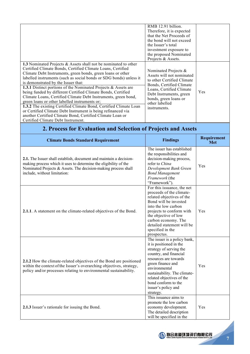|                                                                                                                                                                                                                                                                                                                                                                                                                                                                                                                                                                                                                                                                                                                                                                                                         | RMB 12.91 billion.<br>Therefore, it is expected<br>that the Net Proceeds of<br>the bond will not exceed<br>the Issuer's total<br>investment exposure to<br>the proposed Nominated<br>Projects & Assets.                       |     |
|---------------------------------------------------------------------------------------------------------------------------------------------------------------------------------------------------------------------------------------------------------------------------------------------------------------------------------------------------------------------------------------------------------------------------------------------------------------------------------------------------------------------------------------------------------------------------------------------------------------------------------------------------------------------------------------------------------------------------------------------------------------------------------------------------------|-------------------------------------------------------------------------------------------------------------------------------------------------------------------------------------------------------------------------------|-----|
| 1.3 Nominated Projects & Assets shall not be nominated to other<br>Certified Climate Bonds, Certified Climate Loans, Certified<br>Climate Debt Instruments, green bonds, green loans or other<br>labelled instruments (such as social bonds or SDG bonds) unless it<br>is demonstrated by the Issuer that:<br>1.3.1 Distinct portions of the Nominated Projects & Assets are<br>being funded by different Certified Climate Bonds, Certified<br>Climate Loans, Certified Climate Debt Instruments, green bond,<br>green loans or other labelled instruments or;<br>1.3.2 The existing Certified Climate Bond, Certified Climate Loan<br>or Certified Climate Debt Instrument is being refinanced via<br>another Certified Climate Bond, Certified Climate Loan or<br>Certified Climate Debt Instrument. | Nominated Projects &<br>Assets will not nominated<br>to other Certified Climate<br>Bonds, Certified Climate<br>Loans, Certified Climate<br>Debt Instruments, green<br>bonds, green loans or<br>other labelled<br>instruments. | Yes |

# **2. Process for Evaluation and Selection of Projects and Assets**

| <b>Climate Bonds Standard Requirement</b>                                                                                                                                                                                                | <b>Findings</b>                                                                                                                                                                                                                                                                                     | Requirement<br><b>Met</b> |
|------------------------------------------------------------------------------------------------------------------------------------------------------------------------------------------------------------------------------------------|-----------------------------------------------------------------------------------------------------------------------------------------------------------------------------------------------------------------------------------------------------------------------------------------------------|---------------------------|
| 2.1. The Issuer shall establish, document and maintain a decision-<br>making process which it uses to determine the eligibility of the<br>Nominated Projects & Assets. The decision-making process shall<br>include, without limitation: | The issuer has established<br>the responsibilities and<br>decision-making process,<br>refer to China<br>Development Bank Green<br><b>Bond Management</b><br>Framework (the<br>"Framework").                                                                                                         | Yes                       |
| 2.1.1. A statement on the climate-related objectives of the Bond.                                                                                                                                                                        | For this issuance, the net<br>proceeds of the climate-<br>related objectives of the<br>Bond will be invested<br>into the low carbon<br>projects to conform with<br>the objective of low<br>carbon economy. The<br>detailed statement will be<br>specified in the<br>prospectus.                     | Yes                       |
| 2.1.2 How the climate-related objectives of the Bond are positioned<br>within the context of the Issuer's overarching objectives, strategy,<br>policy and/or processes relating to environmental sustainability.                         | The issuer is a policy bank,<br>it is positioned in the<br>strategy of serving the<br>country, and financial<br>resources are towards<br>green finance and<br>environmental<br>sustainability. The climate-<br>related objectives of the<br>bond conform to the<br>issuer's policy and<br>strategy. | Yes                       |
| 2.1.3 Issuer's rationale for issuing the Bond.                                                                                                                                                                                           | This issuance aims to<br>promote the low carbon<br>economy development.<br>The detailed description<br>will be specified in the                                                                                                                                                                     | Yes                       |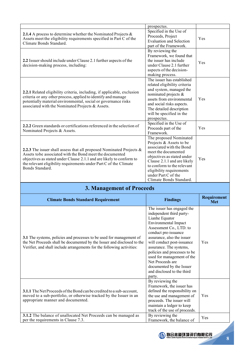|                                                                                                                                                                                                                                                                                                      | prospectus.                                                                                                                                                                                                                                                                   |     |
|------------------------------------------------------------------------------------------------------------------------------------------------------------------------------------------------------------------------------------------------------------------------------------------------------|-------------------------------------------------------------------------------------------------------------------------------------------------------------------------------------------------------------------------------------------------------------------------------|-----|
| 2.1.4 A process to determine whether the Nominated Projects $\&$<br>Assets meet the eligibility requirements specified in Part C of the<br>Climate Bonds Standard.                                                                                                                                   | Specified in the Use of<br>Proceeds, Project<br><b>Evaluation and Selection</b><br>part of the Framework.                                                                                                                                                                     | Yes |
| 2.2 Issuer should include under Clause 2.1 further aspects of the<br>decision-making process, including:                                                                                                                                                                                             | By reviewing the<br>Framework, we found that<br>the issuer has include<br>under Clause 2.1 further<br>aspects of the decision-<br>making process.                                                                                                                             | Yes |
| 2.2.1 Related eligibility criteria, including, if applicable, exclusion<br>criteria or any other process, applied to identify and manage<br>potentially material environmental, social or governance risks<br>associated with the Nominated Projects & Assets.                                       | The issuer has established<br>related eligibility criteria<br>and system, managed the<br>nominated projects &<br>assets from environmental<br>and social risks aspects.<br>The detailed description<br>will be specified in the<br>prospectus.                                | Yes |
| 2.2.2 Green standards or certifications referenced in the selection of<br>Nominated Projects & Assets.                                                                                                                                                                                               | Specified in the Use of<br>Proceeds part of the<br>Framework.                                                                                                                                                                                                                 | Yes |
| 2.2.3 The issuer shall assess that all proposed Nominated Projects $\&$<br>Assets to be associated with the Bond meet the documented<br>objectives as stated under Clause 2.1.1 and are likely to conform to<br>the relevant eligibility requirements under Part C of the Climate<br>Bonds Standard. | The proposed Nominated<br>Projects & Assets to be<br>associated with the Bond<br>meet the documented<br>objectives as stated under<br>Clause 2.1.1 and are likely<br>to conform to the relevant<br>eligibility requirements<br>under Part C of the<br>Climate Bonds Standard. | Yes |

# **3. Management of Proceeds**

| <b>Climate Bonds Standard Requirement</b>                                                                                                                                                                                 | <b>Findings</b>                                                                                                                                                                                                                                                                                                                                                                                         | Requirement<br><b>Met</b> |
|---------------------------------------------------------------------------------------------------------------------------------------------------------------------------------------------------------------------------|---------------------------------------------------------------------------------------------------------------------------------------------------------------------------------------------------------------------------------------------------------------------------------------------------------------------------------------------------------------------------------------------------------|---------------------------|
| 3.1 The systems, policies and processes to be used for management of<br>the Net Proceeds shall be documented by the Issuer and disclosed to the<br>Verifier, and shall include arrangements for the following activities: | The issuer has engaged the<br>independent third party-<br>Lianhe Equator<br><b>Environmental Impact</b><br>Assessment Co., LTD. to<br>conduct pre-issuance<br>assurance, also the issuer<br>will conduct post-issuance<br>assurance. The systems,<br>policies and processes to be<br>used for management of the<br>Net Proceeds are<br>documented by the Issuer<br>and disclosed to the third<br>party. | Yes                       |
| 3.1.1 The Net Proceeds of the Bond can be credited to a sub-account,<br>moved to a sub-portfolio, or otherwise tracked by the Issuer in an<br>appropriate manner and documented.                                          | By reviewing the<br>Framework, the issuer has<br>defined the responsibility on<br>the use and management of<br>proceeds. The issuer will<br>maintain a ledger to keep<br>track of the use of proceeds.                                                                                                                                                                                                  | Yes                       |
| 3.1.2 The balance of unallocated Net Proceeds can be managed as<br>per the requirements in Clause 7.3.                                                                                                                    | By reviewing the<br>Framework, the balance of                                                                                                                                                                                                                                                                                                                                                           | Yes                       |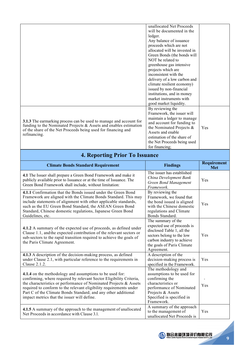|                                                                               | unallocated Net Proceeds      |     |
|-------------------------------------------------------------------------------|-------------------------------|-----|
|                                                                               | will be documented in the     |     |
|                                                                               |                               |     |
|                                                                               | ledger.                       |     |
|                                                                               | Any balance of issuance       |     |
|                                                                               | proceeds which are not        |     |
|                                                                               | allocated will be invested in |     |
|                                                                               | Green Bonds (the bonds will   |     |
|                                                                               | NOT be related to             |     |
|                                                                               | greenhouse gas intensive      |     |
|                                                                               | projects which are            |     |
|                                                                               | inconsistent with the         |     |
|                                                                               | delivery of a low carbon and  |     |
|                                                                               | climate resilient economy)    |     |
|                                                                               | issued by non-financial       |     |
|                                                                               | institutions, and in money    |     |
|                                                                               | market instruments with       |     |
|                                                                               | good market liquidity.        |     |
|                                                                               | By reviewing the              |     |
|                                                                               | Framework, the issuer will    |     |
|                                                                               | maintain a ledger to manage   |     |
| 3.1.3 The earmarking process can be used to manage and account for            | and account for funding to    |     |
| funding to the Nominated Projects $\&$ Assets and enables estimation          | the Nominated Projects $\&$   | Yes |
| of the share of the Net Proceeds being used for financing and<br>refinancing. | Assets and enable             |     |
|                                                                               |                               |     |
|                                                                               | estimation of the share of    |     |
|                                                                               | the Net Proceeds being used   |     |
|                                                                               | for financing;                |     |

| <b>Climate Bonds Standard Requirement</b>                                                                                                                                                                                                                                                                                                                                                   | <b>Findings</b>                                                                                                                                                                        | <b>Requirement</b><br><b>Met</b> |
|---------------------------------------------------------------------------------------------------------------------------------------------------------------------------------------------------------------------------------------------------------------------------------------------------------------------------------------------------------------------------------------------|----------------------------------------------------------------------------------------------------------------------------------------------------------------------------------------|----------------------------------|
| 4.1 The Issuer shall prepare a Green Bond Framework and make it<br>publicly available prior to Issuance or at the time of Issuance. The<br>Green Bond Framework shall include, without limitation:                                                                                                                                                                                          | The issuer has established<br>China Development Bank<br><b>Green Bond Management</b><br>Framework.                                                                                     | Yes                              |
| 4.1.1 Confirmation that the Bonds issued under the Green Bond<br>Framework are aligned with the Climate Bonds Standard. This may<br>include statements of alignment with other applicable standards,<br>such as the EU Green Bond Standard, the ASEAN Green Bond<br>Standard, Chinese domestic regulations, Japanese Green Bond<br>Guidelines, etc.                                         | By reviewing the<br>Framework, we found that<br>the bond issued is aligned<br>with the Chinese domestic<br>regulations and Climate<br>Bonds Standard.                                  | Yes                              |
| 4.1.2 A summary of the expected use of proceeds, as defined under<br>Clause 1.1, and the expected contribution of the relevant sectors or<br>sub-sectors to the rapid transition required to achieve the goals of<br>the Paris Climate Agreement.                                                                                                                                           | The summary of the<br>expected use of proceeds is<br>disclosed Table 1, all the<br>sectors belong to the low<br>carbon industry to achieve<br>the goals of Paris Climate<br>Agreement. | Yes                              |
| 4.1.3 A description of the decision-making process, as defined<br>under Clause 2.1, with particular reference to the requirements in<br>Clause 2.1.2.                                                                                                                                                                                                                                       | A description of the<br>decision-making process is<br>specified in the Framework.                                                                                                      | Yes                              |
| 4.1.4 on the methodology and assumptions to be used for:<br>confirming, where required by relevant Sector Eligibility Criteria,<br>the characteristics or performance of Nominated Projects & Assets<br>required to conform to the relevant eligibility requirements under<br>Part C of the Climate Bonds Standard; and any other additional<br>impact metrics that the issuer will define. | The methodology and<br>assumptions to be used for<br>confirming the<br>characteristics or<br>performance of Nominated<br>Projects & Assets<br>Specified is specified in<br>Framework.  | Yes                              |
| 4.1.5 A summary of the approach to the management of unallocated<br>Net Proceeds in accordance with Clause 3.1.                                                                                                                                                                                                                                                                             | A summary of the approach<br>to the management of<br>unallocated Net Proceeds is                                                                                                       | Yes                              |

# **4. Reporting Prior To Issuance**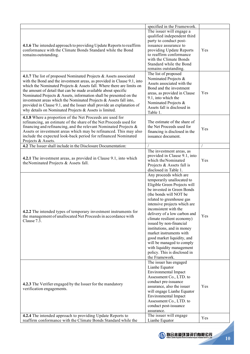|                                                                                                                                                                                                                                                                                                                                                                                                                                                                                                                                                                        | specified in the Framework.                                                                                                                                                                                                                                                                                                                                                                                                                                                                                                    |     |
|------------------------------------------------------------------------------------------------------------------------------------------------------------------------------------------------------------------------------------------------------------------------------------------------------------------------------------------------------------------------------------------------------------------------------------------------------------------------------------------------------------------------------------------------------------------------|--------------------------------------------------------------------------------------------------------------------------------------------------------------------------------------------------------------------------------------------------------------------------------------------------------------------------------------------------------------------------------------------------------------------------------------------------------------------------------------------------------------------------------|-----|
| 4.1.6 The intended approach to providing Update Reports to reaffirm<br>conformance with the Climate Bonds Standard while the Bond<br>remains outstanding.                                                                                                                                                                                                                                                                                                                                                                                                              | The issuer will engage a<br>qualified independent third<br>party to conduct post-<br>issuance assurance to<br>providing Update Reports<br>to reaffirm conformance<br>with the Climate Bonds<br>Standard while the Bond<br>remains outstanding.                                                                                                                                                                                                                                                                                 | Yes |
| 4.1.7 The list of proposed Nominated Projects & Assets associated<br>with the Bond and the investment areas, as provided in Clause 9.1, into<br>which the Nominated Projects & Assets fall. Where there are limits on<br>the amount of detail that can be made available about specific<br>Nominated Projects & Assets, information shall be presented on the<br>investment areas which the Nominated Projects & Assets fall into,<br>provided in Clause 9.1, and the Issuer shall provide an explanation of<br>why details on Nominated Projects & Assets is limited. | The list of proposed<br>Nominated Projects &<br>Assets associated with the<br>Bond and the investment<br>areas, as provided in Clause<br>9.1, into which the<br>Nominated Projects &<br>Assets fall is disclosed in<br>Table 1.                                                                                                                                                                                                                                                                                                | Yes |
| 4.1.8 Where a proportion of the Net Proceeds are used for<br>refinancing, an estimate of the share of the Net Proceeds used for<br>financing and refinancing, and the relevant Nominated Projects &<br>Assets or investment areas which may be refinanced. This may also<br>include the expected look-back period for refinanced Nominated<br>Projects & Assets.                                                                                                                                                                                                       | The estimate of the share of<br>the Net Proceeds used for<br>financing is disclosed in the<br>issuance document.                                                                                                                                                                                                                                                                                                                                                                                                               | Yes |
| 4.2 The Issuer shall include in the Disclosure Documentation:                                                                                                                                                                                                                                                                                                                                                                                                                                                                                                          |                                                                                                                                                                                                                                                                                                                                                                                                                                                                                                                                |     |
| 4.2.1 The investment areas, as provided in Clause 9.1, into which<br>the Nominated Projects & Assets fall.                                                                                                                                                                                                                                                                                                                                                                                                                                                             | The investment areas, as<br>provided in Clause 9.1, into<br>which the Nominated<br>Projects & Assets fall is<br>disclosed in Table 1.                                                                                                                                                                                                                                                                                                                                                                                          | Yes |
| 4.2.2 The intended types of temporary investment instruments for<br>the management of unallocated Net Proceeds in accordance with<br>Clause 7.3.                                                                                                                                                                                                                                                                                                                                                                                                                       | Any proceeds which are<br>temporarily unallocated to<br>Eligible Green Projects will<br>be invested in Green Bonds<br>(the bonds will NOT be<br>related to greenhouse gas<br>intensive projects which are<br>inconsistent with the<br>delivery of a low carbon and<br>climate resilient economy)<br>issued by non-financial<br>institutions, and in money<br>market instruments with<br>good market liquidity, and<br>will be managed to comply<br>with liquidity management<br>policy. This is disclosed in<br>the Framework. | Yes |
| 4.2.3 The Verifier engaged by the Issuer for the mandatory<br>verification engagements.                                                                                                                                                                                                                                                                                                                                                                                                                                                                                | The issuer has engaged<br>Lianhe Equator<br><b>Environmental Impact</b><br>Assessment Co., LTD. to<br>conduct pre-issuance<br>assurance, also the issuer<br>will engage Lianhe Equator<br><b>Environmental Impact</b><br>Assessment Co., LTD. to<br>conduct post-issuance<br>assurance.                                                                                                                                                                                                                                        | Yes |
| 4.2.4 The intended approach to providing Update Reports to                                                                                                                                                                                                                                                                                                                                                                                                                                                                                                             | The issuer will engage                                                                                                                                                                                                                                                                                                                                                                                                                                                                                                         | Yes |
| reaffirm conformance with the Climate Bonds Standard while the                                                                                                                                                                                                                                                                                                                                                                                                                                                                                                         | Lianhe Equator                                                                                                                                                                                                                                                                                                                                                                                                                                                                                                                 |     |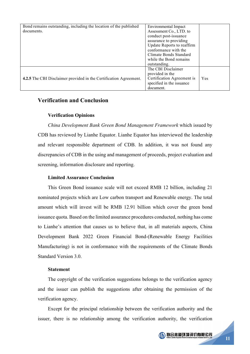| Bond remains outstanding, including the location of the published        | Environmental Impact       |     |
|--------------------------------------------------------------------------|----------------------------|-----|
| documents.                                                               | Assessment Co., LTD. to    |     |
|                                                                          | conduct post-issuance      |     |
|                                                                          | assurance to providing     |     |
|                                                                          | Update Reports to reaffirm |     |
|                                                                          | conformance with the       |     |
|                                                                          | Climate Bonds Standard     |     |
|                                                                          | while the Bond remains     |     |
|                                                                          | outstanding.               |     |
|                                                                          | The CBI Disclaimer         |     |
|                                                                          | provided in the            |     |
| <b>4.2.5</b> The CBI Disclaimer provided in the Certification Agreement. | Certification Agreement is | Yes |
|                                                                          | specified in the issuance  |     |
|                                                                          | document.                  |     |

### **Verification and Conclusion**

#### **Verification Opinions**

*China Development Bank Green Bond Management Framework* which issued by CDB has reviewed by Lianhe Equator. Lianhe Equator has interviewed the leadership and relevant responsible department of CDB. In addition, it was not found any discrepancies of CDB in the using and management of proceeds, project evaluation and screening, information disclosure and reporting.

### **Limited Assurance Conclusion**

This Green Bond issuance scale will not exceed RMB 12 billion, including 21 nominated projects which are Low carbon transport and Renewable energy. The total amount which will invest will be RMB 12.91 billion which cover the green bond issuance quota. Based on the limited assurance procedures conducted, nothing has come to Lianhe's attention that causes us to believe that, in all materials aspects, China Development Bank 2022 Green Financial Bond-(Renewable Energy Facilities Manufacturing) is not in conformance with the requirements of the Climate Bonds Standard Version 3.0.

### **Statement**

The copyright of the verification suggestions belongs to the verification agency and the issuer can publish the suggestions after obtaining the permission of the verification agency.

Except for the principal relationship between the verification authority and the issuer, there is no relationship among the verification authority, the verification